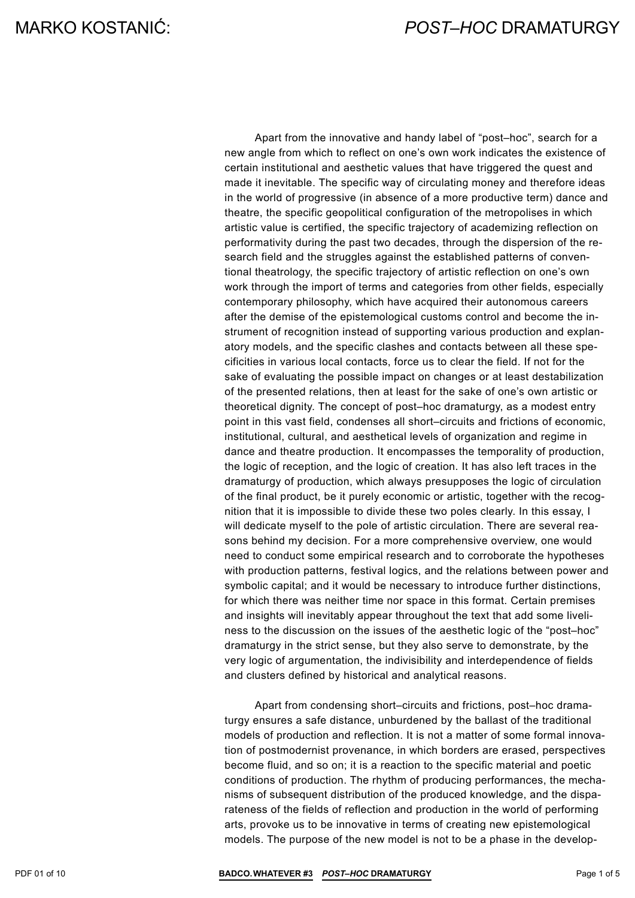Apart from the innovative and handy label of "post–hoc", search for a new angle from which to reflect on one's own work indicates the existence of certain institutional and aesthetic values that have triggered the quest and made it inevitable. The specific way of circulating money and therefore ideas in the world of progressive (in absence of a more productive term) dance and theatre, the specific geopolitical configuration of the metropolises in which artistic value is certified, the specific trajectory of academizing reflection on performativity during the past two decades, through the dispersion of the research field and the struggles against the established patterns of conventional theatrology, the specific trajectory of artistic reflection on one's own work through the import of terms and categories from other fields, especially contemporary philosophy, which have acquired their autonomous careers after the demise of the epistemological customs control and become the instrument of recognition instead of supporting various production and explanatory models, and the specific clashes and contacts between all these specificities in various local contacts, force us to clear the field. If not for the sake of evaluating the possible impact on changes or at least destabilization of the presented relations, then at least for the sake of one's own artistic or theoretical dignity. The concept of post–hoc dramaturgy, as a modest entry point in this vast field, condenses all short–circuits and frictions of economic, institutional, cultural, and aesthetical levels of organization and regime in dance and theatre production. It encompasses the temporality of production, the logic of reception, and the logic of creation. It has also left traces in the dramaturgy of production, which always presupposes the logic of circulation of the final product, be it purely economic or artistic, together with the recognition that it is impossible to divide these two poles clearly. In this essay, I will dedicate myself to the pole of artistic circulation. There are several reasons behind my decision. For a more comprehensive overview, one would need to conduct some empirical research and to corroborate the hypotheses with production patterns, festival logics, and the relations between power and symbolic capital; and it would be necessary to introduce further distinctions, for which there was neither time nor space in this format. Certain premises and insights will inevitably appear throughout the text that add some liveliness to the discussion on the issues of the aesthetic logic of the "post–hoc" dramaturgy in the strict sense, but they also serve to demonstrate, by the very logic of argumentation, the indivisibility and interdependence of fields and clusters defined by historical and analytical reasons.

Apart from condensing short–circuits and frictions, post–hoc dramaturgy ensures a safe distance, unburdened by the ballast of the traditional models of production and reflection. It is not a matter of some formal innovation of postmodernist provenance, in which borders are erased, perspectives become fluid, and so on; it is a reaction to the specific material and poetic conditions of production. The rhythm of producing performances, the mechanisms of subsequent distribution of the produced knowledge, and the disparateness of the fields of reflection and production in the world of performing arts, provoke us to be innovative in terms of creating new epistemological models. The purpose of the new model is not to be a phase in the develop-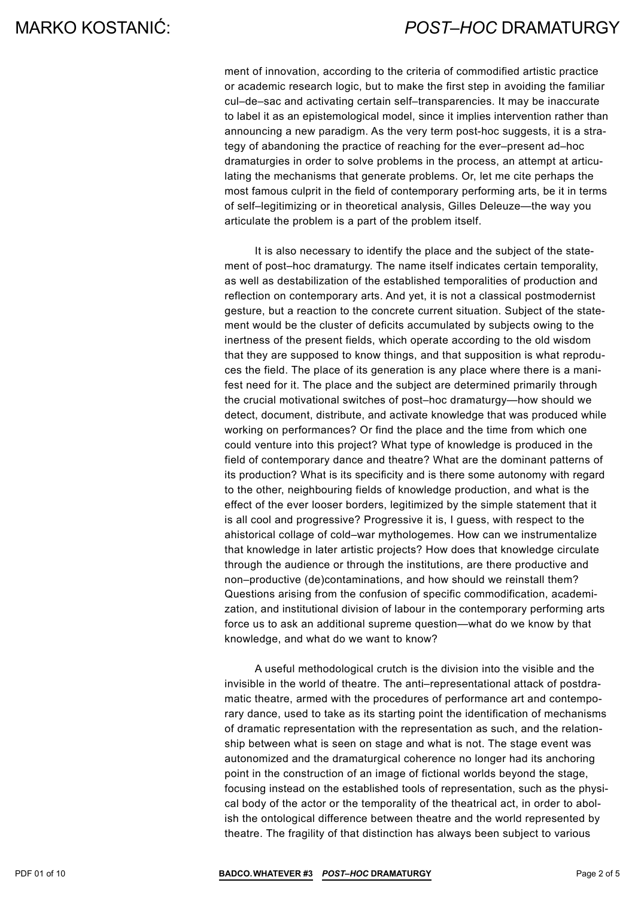ment of innovation, according to the criteria of commodified artistic practice or academic research logic, but to make the first step in avoiding the familiar cul–de–sac and activating certain self–transparencies. It may be inaccurate to label it as an epistemological model, since it implies intervention rather than announcing a new paradigm. As the very term post-hoc suggests, it is a strategy of abandoning the practice of reaching for the ever–present ad–hoc dramaturgies in order to solve problems in the process, an attempt at articulating the mechanisms that generate problems. Or, let me cite perhaps the most famous culprit in the field of contemporary performing arts, be it in terms of self–legitimizing or in theoretical analysis, Gilles Deleuze—the way you articulate the problem is a part of the problem itself.

It is also necessary to identify the place and the subject of the statement of post–hoc dramaturgy. The name itself indicates certain temporality, as well as destabilization of the established temporalities of production and reflection on contemporary arts. And yet, it is not a classical postmodernist gesture, but a reaction to the concrete current situation. Subject of the statement would be the cluster of deficits accumulated by subjects owing to the inertness of the present fields, which operate according to the old wisdom that they are supposed to know things, and that supposition is what reproduces the field. The place of its generation is any place where there is a manifest need for it. The place and the subject are determined primarily through the crucial motivational switches of post–hoc dramaturgy—how should we detect, document, distribute, and activate knowledge that was produced while working on performances? Or find the place and the time from which one could venture into this project? What type of knowledge is produced in the field of contemporary dance and theatre? What are the dominant patterns of its production? What is its specificity and is there some autonomy with regard to the other, neighbouring fields of knowledge production, and what is the effect of the ever looser borders, legitimized by the simple statement that it is all cool and progressive? Progressive it is, I guess, with respect to the ahistorical collage of cold–war mythologemes. How can we instrumentalize that knowledge in later artistic projects? How does that knowledge circulate through the audience or through the institutions, are there productive and non–productive (de)contaminations, and how should we reinstall them? Questions arising from the confusion of specific commodification, academization, and institutional division of labour in the contemporary performing arts force us to ask an additional supreme question—what do we know by that knowledge, and what do we want to know?

A useful methodological crutch is the division into the visible and the invisible in the world of theatre. The anti–representational attack of postdramatic theatre, armed with the procedures of performance art and contemporary dance, used to take as its starting point the identification of mechanisms of dramatic representation with the representation as such, and the relationship between what is seen on stage and what is not. The stage event was autonomized and the dramaturgical coherence no longer had its anchoring point in the construction of an image of fictional worlds beyond the stage, focusing instead on the established tools of representation, such as the physical body of the actor or the temporality of the theatrical act, in order to abolish the ontological difference between theatre and the world represented by theatre. The fragility of that distinction has always been subject to various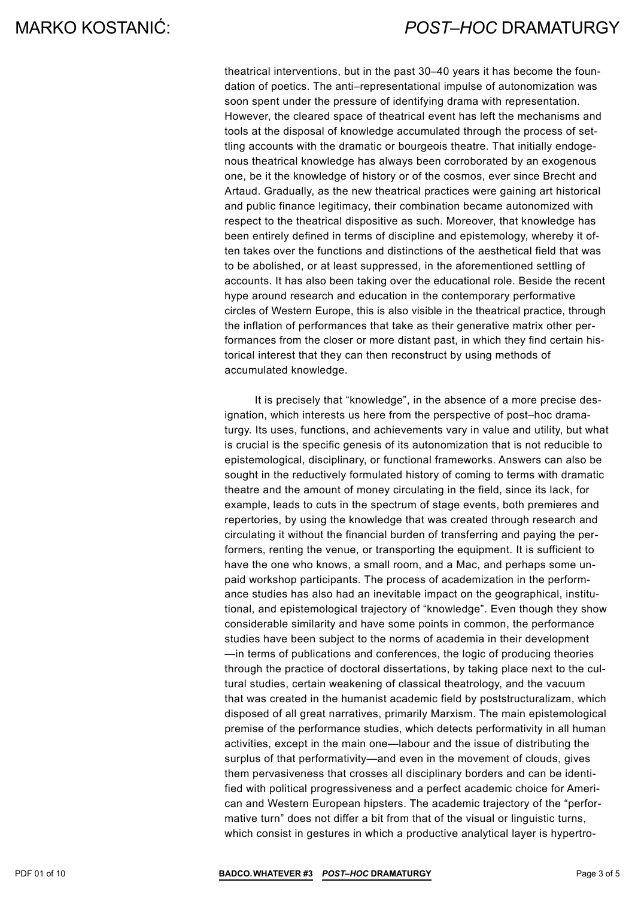theatrical interventions, but in the past 30–40 years it has become the foundation of poetics. The anti–representational impulse of autonomization was soon spent under the pressure of identifying drama with representation. However, the cleared space of theatrical event has left the mechanisms and tools at the disposal of knowledge accumulated through the process of settling accounts with the dramatic or bourgeois theatre. That initially endogenous theatrical knowledge has always been corroborated by an exogenous one, be it the knowledge of history or of the cosmos, ever since Brecht and Artaud. Gradually, as the new theatrical practices were gaining art historical and public finance legitimacy, their combination became autonomized with respect to the theatrical dispositive as such. Moreover, that knowledge has been entirely defined in terms of discipline and epistemology, whereby it often takes over the functions and distinctions of the aesthetical field that was to be abolished, or at least suppressed, in the aforementioned settling of accounts. It has also been taking over the educational role. Beside the recent hype around research and education in the contemporary performative circles of Western Europe, this is also visible in the theatrical practice, through the inflation of performances that take as their generative matrix other performances from the closer or more distant past, in which they find certain historical interest that they can then reconstruct by using methods of accumulated knowledge.

It is precisely that "knowledge", in the absence of a more precise designation, which interests us here from the perspective of post–hoc dramaturgy. Its uses, functions, and achievements vary in value and utility, but what is crucial is the specific genesis of its autonomization that is not reducible to epistemological, disciplinary, or functional frameworks. Answers can also be sought in the reductively formulated history of coming to terms with dramatic theatre and the amount of money circulating in the field, since its lack, for example, leads to cuts in the spectrum of stage events, both premieres and repertories, by using the knowledge that was created through research and circulating it without the financial burden of transferring and paying the performers, renting the venue, or transporting the equipment. It is sufficient to have the one who knows, a small room, and a Mac, and perhaps some unpaid workshop participants. The process of academization in the performance studies has also had an inevitable impact on the geographical, institutional, and epistemological trajectory of "knowledge". Even though they show considerable similarity and have some points in common, the performance studies have been subject to the norms of academia in their development —in terms of publications and conferences, the logic of producing theories through the practice of doctoral dissertations, by taking place next to the cultural studies, certain weakening of classical theatrology, and the vacuum that was created in the humanist academic field by poststructuralizam, which disposed of all great narratives, primarily Marxism. The main epistemological premise of the performance studies, which detects performativity in all human activities, except in the main one—labour and the issue of distributing the surplus of that performativity—and even in the movement of clouds, gives them pervasiveness that crosses all disciplinary borders and can be identified with political progressiveness and a perfect academic choice for American and Western European hipsters. The academic trajectory of the "performative turn" does not differ a bit from that of the visual or linguistic turns, which consist in gestures in which a productive analytical layer is hypertro-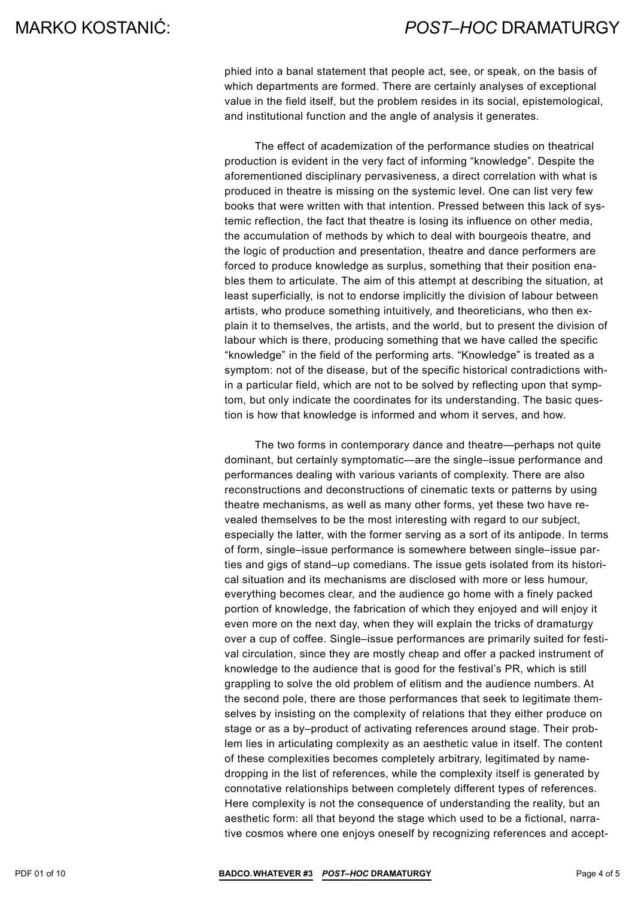phied into a banal statement that people act, see, or speak, on the basis of which departments are formed. There are certainly analyses of exceptional value in the field itself, but the problem resides in its social, epistemological, and institutional function and the angle of analysis it generates.

The effect of academization of the performance studies on theatrical production is evident in the very fact of informing "knowledge". Despite the aforementioned disciplinary pervasiveness, a direct correlation with what is produced in theatre is missing on the systemic level. One can list very few books that were written with that intention. Pressed between this lack of systemic reflection, the fact that theatre is losing its influence on other media, the accumulation of methods by which to deal with bourgeois theatre, and the logic of production and presentation, theatre and dance performers are forced to produce knowledge as surplus, something that their position enables them to articulate. The aim of this attempt at describing the situation, at least superficially, is not to endorse implicitly the division of labour between artists, who produce something intuitively, and theoreticians, who then explain it to themselves, the artists, and the world, but to present the division of labour which is there, producing something that we have called the specific "knowledge" in the field of the performing arts. "Knowledge" is treated as a symptom: not of the disease, but of the specific historical contradictions within a particular field, which are not to be solved by reflecting upon that symptom, but only indicate the coordinates for its understanding. The basic question is how that knowledge is informed and whom it serves, and how.

The two forms in contemporary dance and theatre—perhaps not quite dominant, but certainly symptomatic—are the single–issue performance and performances dealing with various variants of complexity. There are also reconstructions and deconstructions of cinematic texts or patterns by using theatre mechanisms, as well as many other forms, yet these two have revealed themselves to be the most interesting with regard to our subject, especially the latter, with the former serving as a sort of its antipode. In terms of form, single–issue performance is somewhere between single–issue parties and gigs of stand–up comedians. The issue gets isolated from its historical situation and its mechanisms are disclosed with more or less humour, everything becomes clear, and the audience go home with a finely packed portion of knowledge, the fabrication of which they enjoyed and will enjoy it even more on the next day, when they will explain the tricks of dramaturgy over a cup of coffee. Single–issue performances are primarily suited for festival circulation, since they are mostly cheap and offer a packed instrument of knowledge to the audience that is good for the festival's PR, which is still grappling to solve the old problem of elitism and the audience numbers. At the second pole, there are those performances that seek to legitimate themselves by insisting on the complexity of relations that they either produce on stage or as a by–product of activating references around stage. Their problem lies in articulating complexity as an aesthetic value in itself. The content of these complexities becomes completely arbitrary, legitimated by namedropping in the list of references, while the complexity itself is generated by connotative relationships between completely different types of references. Here complexity is not the consequence of understanding the reality, but an aesthetic form: all that beyond the stage which used to be a fictional, narrative cosmos where one enjoys oneself by recognizing references and accept-